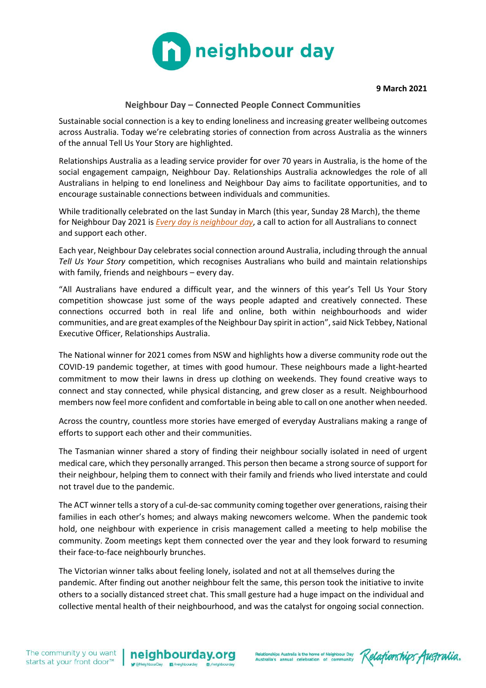

**9 March 2021**

## **Neighbour Day – Connected People Connect Communities**

Sustainable social connection is a key to ending loneliness and increasing greater wellbeing outcomes across Australia. Today we're celebrating stories of connection from across Australia as the winners of the annual Tell Us Your Story are highlighted.

Relationships Australia as a leading service provider for over 70 years in Australia, is the home of the social engagement campaign, Neighbour Day. Relationships Australia acknowledges the role of all Australians in helping to end loneliness and Neighbour Day aims to facilitate opportunities, and to encourage sustainable connections between individuals and communities.

While traditionally celebrated on the last Sunday in March (this year, Sunday 28 March), the theme for Neighbour Day 2021 is *[Every day is neighbour day](https://neighbourday.org/neighbour-day-2021-theme/)*, a call to action for all Australians to connect and support each other.

Each year, Neighbour Day celebrates social connection around Australia, including through the annual *Tell Us Your Story* competition, which recognises Australians who build and maintain relationships with family, friends and neighbours – every day.

"All Australians have endured a difficult year, and the winners of this year's Tell Us Your Story competition showcase just some of the ways people adapted and creatively connected. These connections occurred both in real life and online, both within neighbourhoods and wider communities, and are great examples of the Neighbour Day spirit in action", said Nick Tebbey, National Executive Officer, Relationships Australia.

The National winner for 2021 comes from NSW and highlights how a diverse community rode out the COVID-19 pandemic together, at times with good humour. These neighbours made a light-hearted commitment to mow their lawns in dress up clothing on weekends. They found creative ways to connect and stay connected, while physical distancing, and grew closer as a result. Neighbourhood members now feel more confident and comfortable in being able to call on one another when needed.

Across the country, countless more stories have emerged of everyday Australians making a range of efforts to support each other and their communities.

The Tasmanian winner shared a story of finding their neighbour socially isolated in need of urgent medical care, which they personally arranged. This person then became a strong source of support for their neighbour, helping them to connect with their family and friends who lived interstate and could not travel due to the pandemic.

The ACT winner tells a story of a cul-de-sac community coming together over generations, raising their families in each other's homes; and always making newcomers welcome. When the pandemic took hold, one neighbour with experience in crisis management called a meeting to help mobilise the community. Zoom meetings kept them connected over the year and they look forward to resuming their face-to-face neighbourly brunches.

The Victorian winner talks about feeling lonely, isolated and not at all themselves during the pandemic. After finding out another neighbour felt the same, this person took the initiative to invite others to a socially distanced street chat. This small gesture had a huge impact on the individual and collective mental health of their neighbourhood, and was the catalyst for ongoing social connection.